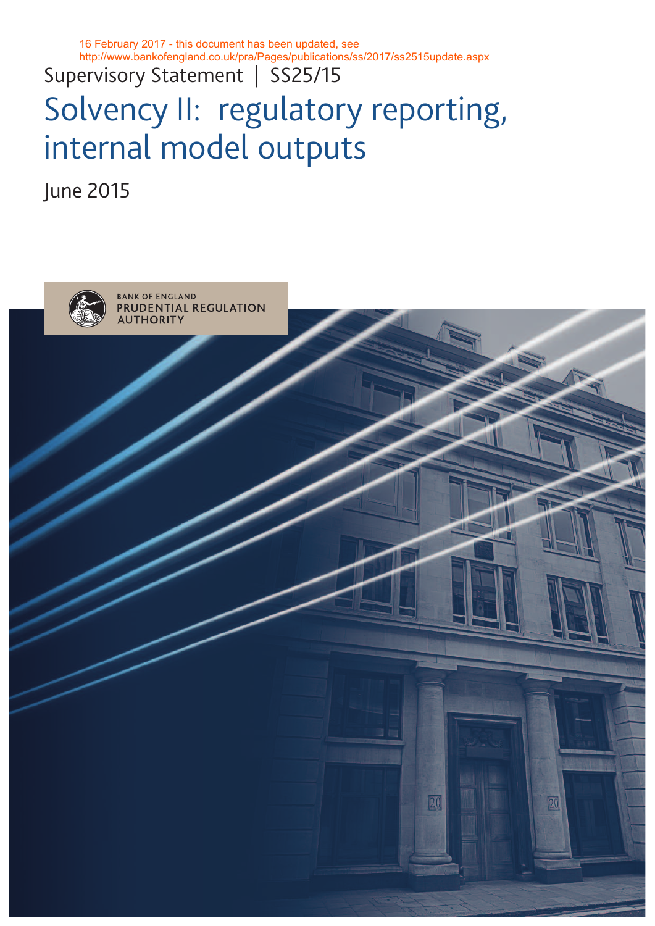16 February 2017 - this document has been updated, see http://www.bankofengland.co.uk/pra/Pages/publications/ss/2017/ss2515update.aspx

Supervisory Statement | SS25/15

# Solvency II: regulatory reporting, internal model outputs

June 2015

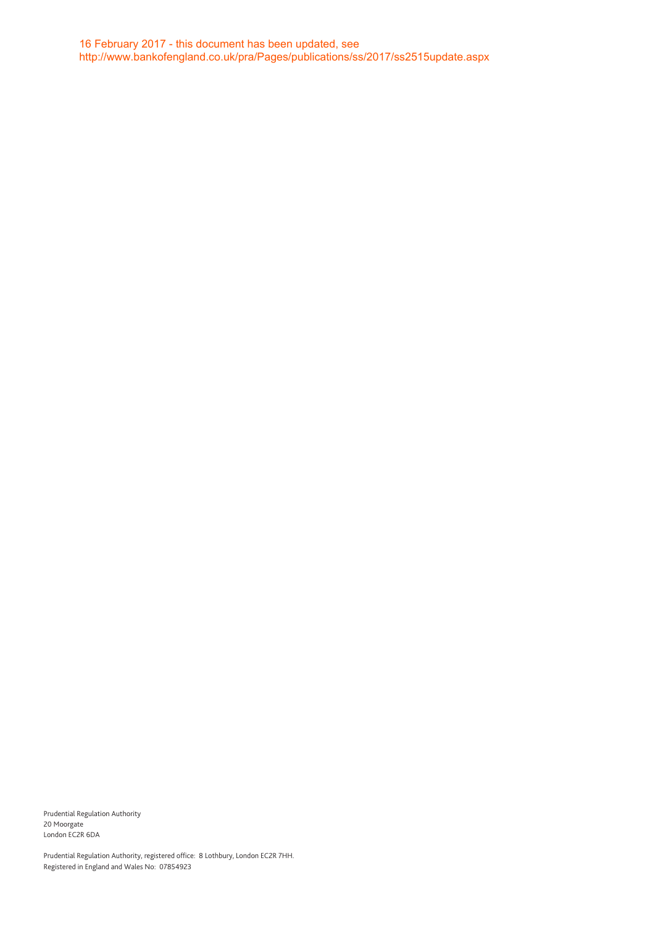Prudential Regulation Authority 20 Moorgate London EC2R 6DA

Prudential Regulation Authority, registered office: 8 Lothbury, London EC2R 7HH. Registered in England and Wales No: 07854923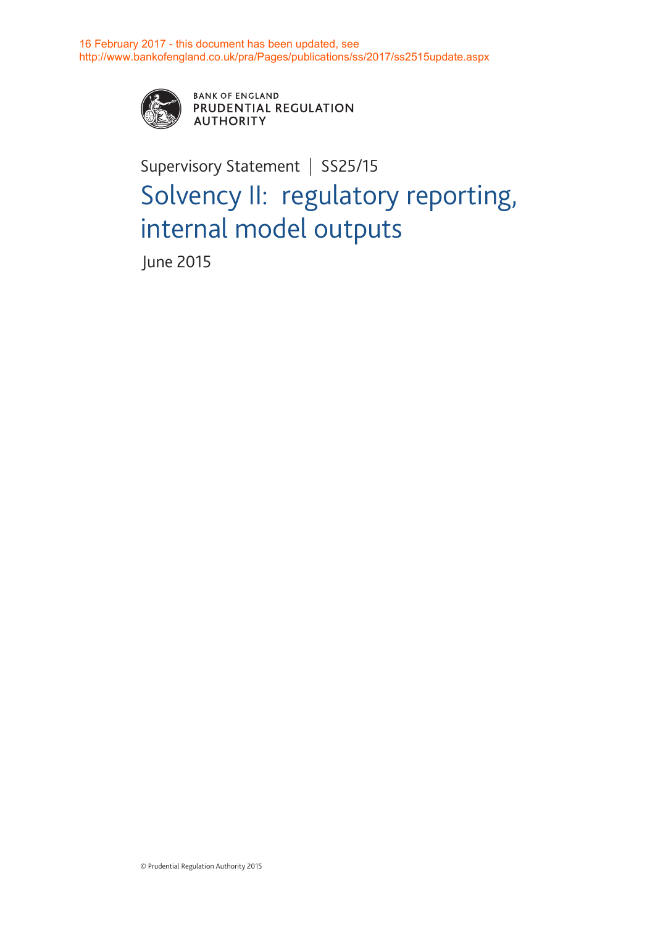

**BANK OF ENGLAND** PRUDENTIAL REGULATION **AUTHORITY** 

## Supervisory Statement | SS25/15 Solvency II: regulatory reporting, internal model outputs

June 2015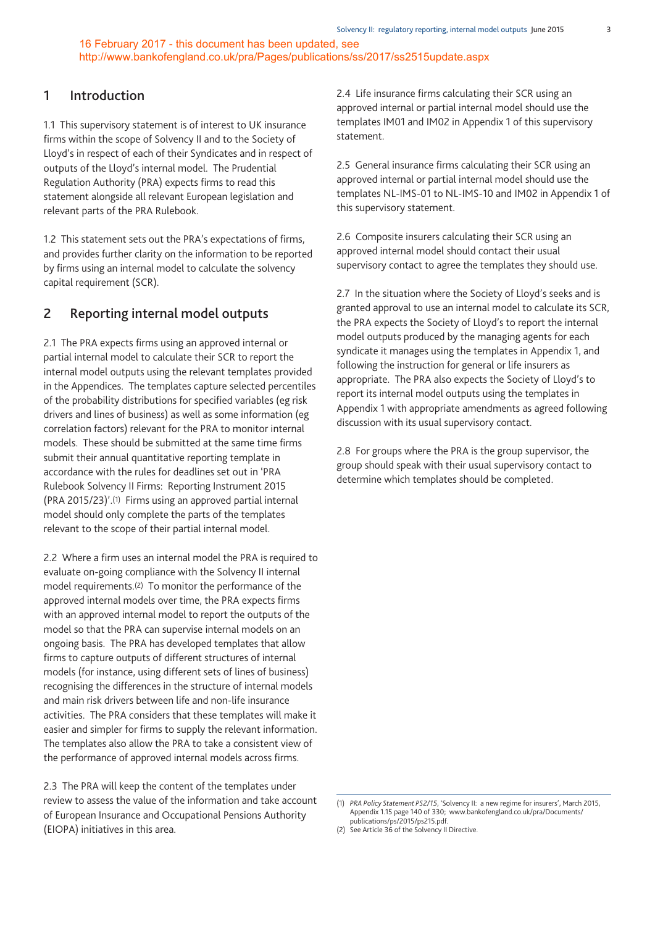#### **1 Introduction**

1.1 This supervisory statement is of interest to UK insurance firms within the scope of Solvency II and to the Society of Lloyd's in respect of each of their Syndicates and in respect of outputs of the Lloyd's internal model. The Prudential Regulation Authority (PRA) expects firms to read this statement alongside all relevant European legislation and relevant parts of the PRA Rulebook.

1.2 This statement sets out the PRA's expectations of firms, and provides further clarity on the information to be reported by firms using an internal model to calculate the solvency capital requirement (SCR).

#### **2 Reporting internal model outputs**

2.1 The PRA expects firms using an approved internal or partial internal model to calculate their SCR to report the internal model outputs using the relevant templates provided in the Appendices. The templates capture selected percentiles of the probability distributions for specified variables (eg risk drivers and lines of business) as well as some information (eg correlation factors) relevant for the PRA to monitor internal models. These should be submitted at the same time firms submit their annual quantitative reporting template in accordance with the rules for deadlines set out in 'PRA Rulebook Solvency II Firms: Reporting Instrument 2015 (PRA 2015/23)'.(1) Firms using an approved partial internal model should only complete the parts of the templates relevant to the scope of their partial internal model.

2.2 Where a firm uses an internal model the PRA is required to evaluate on-going compliance with the Solvency II internal model requirements.<sup>(2)</sup> To monitor the performance of the approved internal models over time, the PRA expects firms with an approved internal model to report the outputs of the model so that the PRA can supervise internal models on an ongoing basis. The PRA has developed templates that allow firms to capture outputs of different structures of internal models (for instance, using different sets of lines of business) recognising the differences in the structure of internal models and main risk drivers between life and non-life insurance activities. The PRA considers that these templates will make it easier and simpler for firms to supply the relevant information. The templates also allow the PRA to take a consistent view of the performance of approved internal models across firms.

2.3 The PRA will keep the content of the templates under review to assess the value of the information and take account of European Insurance and Occupational Pensions Authority (EIOPA) initiatives in this area.

2.4 Life insurance firms calculating their SCR using an approved internal or partial internal model should use the templates IM01 and IM02 in Appendix 1 of this supervisory statement.

2.5 General insurance firms calculating their SCR using an approved internal or partial internal model should use the templates NL-IMS-01 to NL-IMS-10 and IM02 in Appendix 1 of this supervisory statement.

2.6 Composite insurers calculating their SCR using an approved internal model should contact their usual supervisory contact to agree the templates they should use.

2.7 In the situation where the Society of Lloyd's seeks and is granted approval to use an internal model to calculate its SCR, the PRA expects the Society of Lloyd's to report the internal model outputs produced by the managing agents for each syndicate it manages using the templates in Appendix 1, and following the instruction for general or life insurers as appropriate. The PRA also expects the Society of Lloyd's to report its internal model outputs using the templates in Appendix 1 with appropriate amendments as agreed following discussion with its usual supervisory contact.

2.8 For groups where the PRA is the group supervisor, the group should speak with their usual supervisory contact to determine which templates should be completed.

<sup>(1)</sup> *PRA Policy Statement PS2/15*, 'Solvency II: a new regime for insurers', March 2015, Appendix 1.15 page 140 of 330; [www.bankofengland.co.uk/pra/Documents/](www.bankofengland.co.uk/pra/Documents/publications/ps/2015/ps215.pdf) [publications/ps/2015/ps215.pdf.](www.bankofengland.co.uk/pra/Documents/publications/ps/2015/ps215.pdf)

<sup>(2)</sup> See Article 36 of the Solvency II Directive.